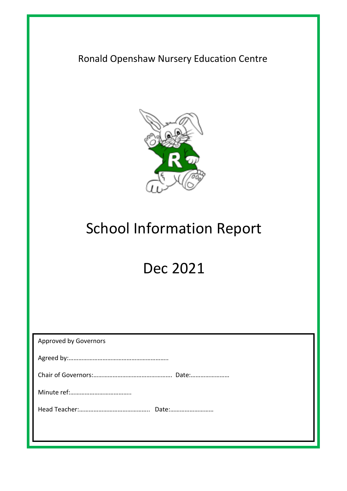Ronald Openshaw Nursery Education Centre



# School Information Report

# Dec 2021

| <b>Approved by Governors</b> |
|------------------------------|
|                              |
|                              |
|                              |
|                              |
|                              |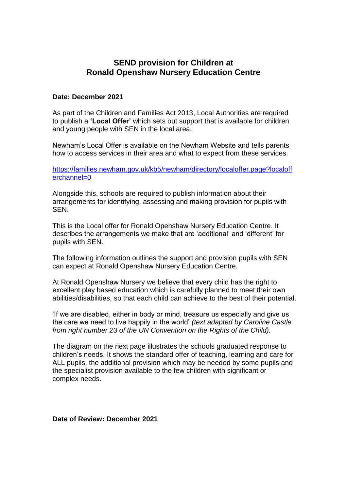# **SEND provision for Children at Ronald Openshaw Nursery Education Centre**

#### **Date: December 2021**

As part of the Children and Families Act 2013, Local Authorities are required to publish a **'Local Offer'** which sets out support that is available for children and young people with SEN in the local area.

Newham's Local Offer is available on the Newham Website and tells parents how to access services in their area and what to expect from these services.

[https://families.newham.gov.uk/kb5/newham/directory/localoffer.page?localoff](https://families.newham.gov.uk/kb5/newham/directory/localoffer.page?localofferchannel=0) [erchannel=0](https://families.newham.gov.uk/kb5/newham/directory/localoffer.page?localofferchannel=0)

Alongside this, schools are required to publish information about their arrangements for identifying, assessing and making provision for pupils with SEN.

This is the Local offer for Ronald Openshaw Nursery Education Centre. It describes the arrangements we make that are 'additional' and 'different' for pupils with SEN.

The following information outlines the support and provision pupils with SEN can expect at Ronald Openshaw Nursery Education Centre.

At Ronald Openshaw Nursery we believe that every child has the right to excellent play based education which is carefully planned to meet their own abilities/disabilities, so that each child can achieve to the best of their potential.

'If we are disabled, either in body or mind, treasure us especially and give us the care we need to live happily in the world' *(text adapted by Caroline Castle from right number 23 of the UN Convention on the Rights of the Child).*

The diagram on the next page illustrates the schools graduated response to children's needs. It shows the standard offer of teaching, learning and care for ALL pupils, the additional provision which may be needed by some pupils and the specialist provision available to the few children with significant or complex needs.

**Date of Review: December 2021**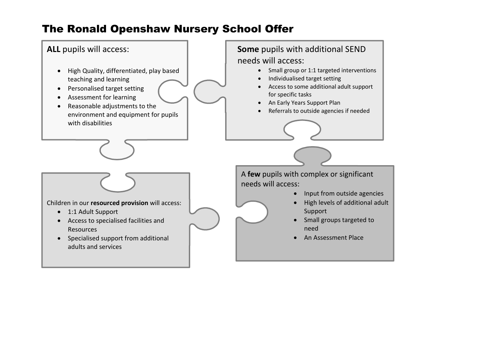# The Ronald Openshaw Nursery School Offer

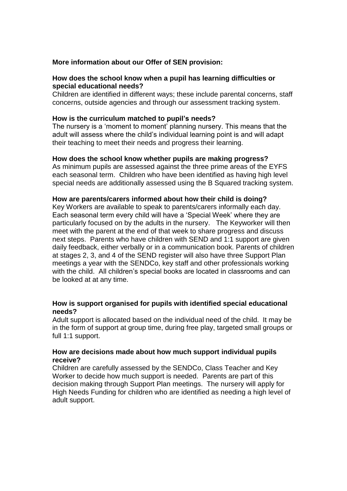### **More information about our Offer of SEN provision:**

# **How does the school know when a pupil has learning difficulties or special educational needs?**

Children are identified in different ways; these include parental concerns, staff concerns, outside agencies and through our assessment tracking system.

#### **How is the curriculum matched to pupil's needs?**

The nursery is a 'moment to moment' planning nursery. This means that the adult will assess where the child's individual learning point is and will adapt their teaching to meet their needs and progress their learning.

#### **How does the school know whether pupils are making progress?**

As minimum pupils are assessed against the three prime areas of the EYFS each seasonal term. Children who have been identified as having high level special needs are additionally assessed using the B Squared tracking system.

#### **How are parents/carers informed about how their child is doing?**

Key Workers are available to speak to parents/carers informally each day. Each seasonal term every child will have a 'Special Week' where they are particularly focused on by the adults in the nursery. The Keyworker will then meet with the parent at the end of that week to share progress and discuss next steps. Parents who have children with SEND and 1:1 support are given daily feedback, either verbally or in a communication book. Parents of children at stages 2, 3, and 4 of the SEND register will also have three Support Plan meetings a year with the SENDCo, key staff and other professionals working with the child. All children's special books are located in classrooms and can be looked at at any time.

# **How is support organised for pupils with identified special educational needs?**

Adult support is allocated based on the individual need of the child. It may be in the form of support at group time, during free play, targeted small groups or full 1:1 support.

#### **How are decisions made about how much support individual pupils receive?**

Children are carefully assessed by the SENDCo, Class Teacher and Key Worker to decide how much support is needed. Parents are part of this decision making through Support Plan meetings. The nursery will apply for High Needs Funding for children who are identified as needing a high level of adult support.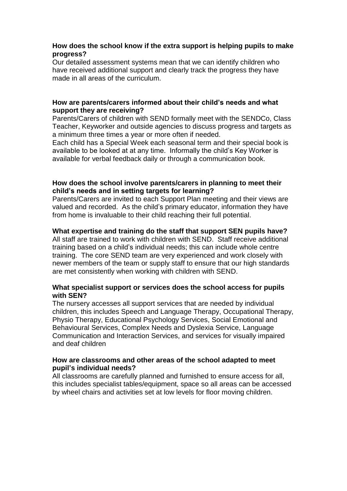# **How does the school know if the extra support is helping pupils to make progress?**

Our detailed assessment systems mean that we can identify children who have received additional support and clearly track the progress they have made in all areas of the curriculum.

# **How are parents/carers informed about their child's needs and what support they are receiving?**

Parents/Carers of children with SEND formally meet with the SENDCo, Class Teacher, Keyworker and outside agencies to discuss progress and targets as a minimum three times a year or more often if needed.

Each child has a Special Week each seasonal term and their special book is available to be looked at at any time. Informally the child's Key Worker is available for verbal feedback daily or through a communication book.

# **How does the school involve parents/carers in planning to meet their child's needs and in setting targets for learning?**

Parents/Carers are invited to each Support Plan meeting and their views are valued and recorded. As the child's primary educator, information they have from home is invaluable to their child reaching their full potential.

# **What expertise and training do the staff that support SEN pupils have?**

All staff are trained to work with children with SEND. Staff receive additional training based on a child's individual needs; this can include whole centre training. The core SEND team are very experienced and work closely with newer members of the team or supply staff to ensure that our high standards are met consistently when working with children with SEND.

# **What specialist support or services does the school access for pupils with SEN?**

The nursery accesses all support services that are needed by individual children, this includes Speech and Language Therapy, Occupational Therapy, Physio Therapy, [Educational Psychology Services,](http://fronter.com/newham/links/link.phtml?idesc=-2&iid=887273&sechash=a678bd9e4ca8b6715bb3d55485994a32) [Social Emotional and](http://fronter.com/newham/links/link.phtml?idesc=-2&iid=293368&sechash=753be42243d42f690232e558b25bd674)  [Behavioural Services,](http://fronter.com/newham/links/link.phtml?idesc=-2&iid=293368&sechash=753be42243d42f690232e558b25bd674) Complex Needs and Dyslexia Service, [Language](http://fronter.com/newham/links/link.phtml?idesc=-2&iid=293366&sechash=cbec542adf1994c5c6a028f6afd7798a)  [Communication and Interaction Services,](http://fronter.com/newham/links/link.phtml?idesc=-2&iid=293366&sechash=cbec542adf1994c5c6a028f6afd7798a) and services for visually impaired and deaf children

# **How are classrooms and other areas of the school adapted to meet pupil's individual needs?**

All classrooms are carefully planned and furnished to ensure access for all, this includes specialist tables/equipment, space so all areas can be accessed by wheel chairs and activities set at low levels for floor moving children.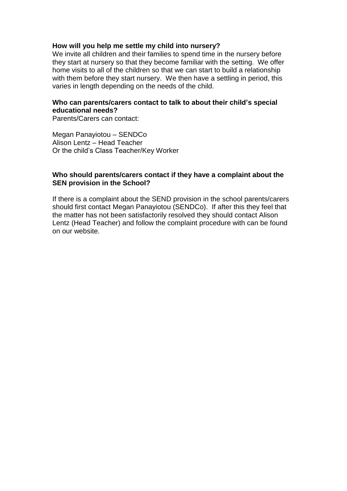#### **How will you help me settle my child into nursery?**

We invite all children and their families to spend time in the nursery before they start at nursery so that they become familiar with the setting. We offer home visits to all of the children so that we can start to build a relationship with them before they start nursery. We then have a settling in period, this varies in length depending on the needs of the child.

# **Who can parents/carers contact to talk to about their child's special educational needs?**

Parents/Carers can contact:

Megan Panayiotou – SENDCo Alison Lentz – Head Teacher Or the child's Class Teacher/Key Worker

### **Who should parents/carers contact if they have a complaint about the SEN provision in the School?**

If there is a complaint about the SEND provision in the school parents/carers should first contact Megan Panayiotou (SENDCo). If after this they feel that the matter has not been satisfactorily resolved they should contact Alison Lentz (Head Teacher) and follow the complaint procedure with can be found on our website.